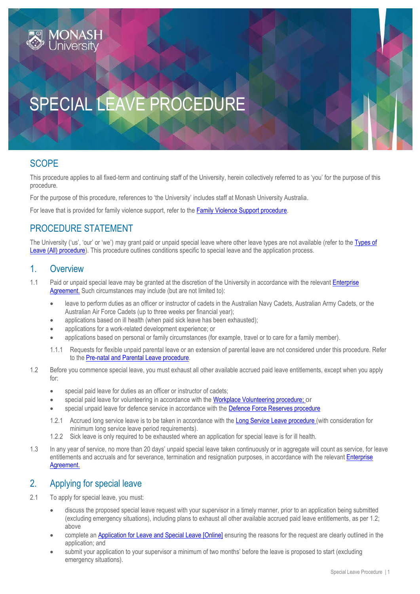

# SPECIAL LEAVE PROCEDURE

## **SCOPE**

This procedure applies to all fixed-term and continuing staff of the University, herein collectively referred to as 'you' for the purpose of this procedure.

For the purpose of this procedure, references to 'the University' includes staff at Monash University Australia.

For leave that is provided for family violence support, refer to th[e Family Violence Support procedure.](https://publicpolicydms.monash.edu/Monash/documents/1935685)

## PROCEDURE STATEMENT

The University ('us', 'our' or 'we') may grant paid or unpaid special leave where other leave types are not available (refer to the Types of [Leave \(All\) procedure\)](https://publicpolicydms.monash.edu/Monash/documents/1935723). This procedure outlines conditions specific to special leave and the application process.

#### 1. Overview

- 1.1 Paid or unpaid special leave may be granted at the discretion of the University in accordance with the relevant Enterprise [Agreement.](https://www.monash.edu/current-enterprise-agreements) Such circumstances may include (but are not limited to):
	- leave to perform duties as an officer or instructor of cadets in the Australian Navy Cadets, Australian Army Cadets, or the Australian Air Force Cadets (up to three weeks per financial year);
	- applications based on ill health (when paid sick leave has been exhausted);
	- applications for a work-related development experience; or
	- applications based on personal or family circumstances (for example, travel or to care for a family member).
	- 1.1.1 Requests for flexible unpaid parental leave or an extension of parental leave are not considered under this procedure. Refer to the [Pre-natal and Parental Leave procedure.](https://publicpolicydms.monash.edu/Monash/documents/1935724)
- 1.2 Before you commence special leave, you must exhaust all other available accrued paid leave entitlements, except when you apply for:
	- special paid leave for duties as an officer or instructor of cadets;
	- special paid leave for volunteering in accordance with the [Workplace Volunteering procedure;](https://publicpolicydms.monash.edu/Monash/documents/1935743) or
	- special unpaid leave for defence service in accordance with the [Defence Force Reserves procedure](https://publicpolicydms.monash.edu/Monash/documents/1935672)
	- 1.2.1 Accrued long service leave is to be taken in accordance with th[e Long Service Leave procedure](https://publicpolicydms.monash.edu/Monash/documents/1935695) (with consideration for minimum long service leave period requirements).
	- 1.2.2 Sick leave is only required to be exhausted where an application for special leave is for ill health.
- 1.3 In any year of service, no more than 20 days' unpaid special leave taken continuously or in aggregate will count as service, for leave entitlements and accruals and for severance, termination and resignation purposes, in accordance with the relevant Enterprise [Agreement.](https://www.monash.edu/current-enterprise-agreements)

#### 2. Applying for special leave

- 2.1 To apply for special leave, you must:
	- discuss the proposed special leave request with your supervisor in a timely manner, prior to an application being submitted (excluding emergency situations), including plans to exhaust all other available accrued paid leave entitlements, as per 1.2; above
	- complete an [Application for Leave and Special Leave \[Online\]](https://www.monash.edu/eforms-resources/frevvo-forms/hr/leave-request) ensuring the reasons for the request are clearly outlined in the application; and
	- submit your application to your supervisor a minimum of two months' before the leave is proposed to start (excluding emergency situations).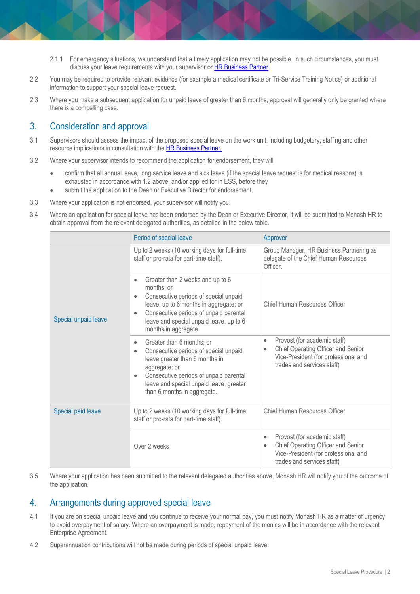- 2.1.1 For emergency situations, we understand that a timely application may not be possible. In such circumstances, you must discuss your leave requirements with your supervisor or [HR Business Partner.](https://www.intranet.monash/hr/contact-us/hr-business-partners)
- 2.2 You may be required to provide relevant evidence (for example a medical certificate or Tri-Service Training Notice) or additional information to support your special leave request.
- 2.3 Where you make a subsequent application for unpaid leave of greater than 6 months, approval will generally only be granted where there is a compelling case.

#### 3. Consideration and approval

- 3.1 Supervisors should assess the impact of the proposed special leave on the work unit, including budgetary, staffing and other resource implications in consultation with th[e HR Business Partner.](https://www.intranet.monash/hr/contact-us/hr-business-partners)
- 3.2 Where your supervisor intends to recommend the application for endorsement, they will
	- confirm that all annual leave, long service leave and sick leave (if the special leave request is for medical reasons) is exhausted in accordance with 1.2 above, and/or applied for in ESS, before they
	- submit the application to the Dean or Executive Director for endorsement.
- 3.3 Where your application is not endorsed, your supervisor will notify you.
- 3.4 Where an application for special leave has been endorsed by the Dean or Executive Director, it will be submitted to Monash HR to obtain approval from the relevant delegated authorities, as detailed in the below table.

|                      | Period of special leave                                                                                                                                                                                                                                                               | Approver                                                                                                                                                           |
|----------------------|---------------------------------------------------------------------------------------------------------------------------------------------------------------------------------------------------------------------------------------------------------------------------------------|--------------------------------------------------------------------------------------------------------------------------------------------------------------------|
| Special unpaid leave | Up to 2 weeks (10 working days for full-time<br>staff or pro-rata for part-time staff).                                                                                                                                                                                               | Group Manager, HR Business Partnering as<br>delegate of the Chief Human Resources<br>Officer.                                                                      |
|                      | Greater than 2 weeks and up to 6<br>$\bullet$<br>months: or<br>Consecutive periods of special unpaid<br>$\bullet$<br>leave, up to 6 months in aggregate; or<br>Consecutive periods of unpaid parental<br>$\bullet$<br>leave and special unpaid leave, up to 6<br>months in aggregate. | <b>Chief Human Resources Officer</b>                                                                                                                               |
|                      | Greater than 6 months; or<br>$\bullet$<br>Consecutive periods of special unpaid<br>$\bullet$<br>leave greater than 6 months in<br>aggregate; or<br>Consecutive periods of unpaid parental<br>$\bullet$<br>leave and special unpaid leave, greater<br>than 6 months in aggregate.      | Provost (for academic staff)<br>$\bullet$<br>Chief Operating Officer and Senior<br>٠<br>Vice-President (for professional and<br>trades and services staff)         |
| Special paid leave   | Up to 2 weeks (10 working days for full-time<br>staff or pro-rata for part-time staff).                                                                                                                                                                                               | Chief Human Resources Officer                                                                                                                                      |
|                      | Over 2 weeks                                                                                                                                                                                                                                                                          | Provost (for academic staff)<br>$\bullet$<br>Chief Operating Officer and Senior<br>$\bullet$<br>Vice-President (for professional and<br>trades and services staff) |

3.5 Where your application has been submitted to the relevant delegated authorities above, Monash HR will notify you of the outcome of the application.

#### 4. Arrangements during approved special leave

- 4.1 If you are on special unpaid leave and you continue to receive your normal pay, you must notify Monash HR as a matter of urgency to avoid overpayment of salary. Where an overpayment is made, repayment of the monies will be in accordance with the relevant Enterprise Agreement.
- 4.2 Superannuation contributions will not be made during periods of special unpaid leave.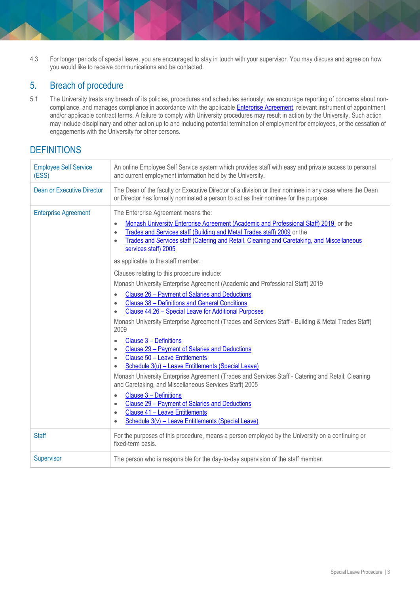4.3 For longer periods of special leave, you are encouraged to stay in touch with your supervisor. You may discuss and agree on how you would like to receive communications and be contacted.

## 5. Breach of procedure

5.1 The University treats any breach of its policies, procedures and schedules seriously; we encourage reporting of concerns about noncompliance, and manages compliance in accordance with the applicable **Enterprise Agreement**, relevant instrument of appointment and/or applicable contract terms. A failure to comply with University procedures may result in action by the University. Such action may include disciplinary and other action up to and including potential termination of employment for employees, or the cessation of engagements with the University for other persons.

## **DEFINITIONS**

| <b>Employee Self Service</b><br>(ESS) | An online Employee Self Service system which provides staff with easy and private access to personal<br>and current employment information held by the University.                                                                                                                                                                                                                                                                                                                                                                                                                                                                                                                                                                                                                                                                                                                                                                                                                                                                                                                                                                                                                                                                                                                                                                                                                                                                                                         |
|---------------------------------------|----------------------------------------------------------------------------------------------------------------------------------------------------------------------------------------------------------------------------------------------------------------------------------------------------------------------------------------------------------------------------------------------------------------------------------------------------------------------------------------------------------------------------------------------------------------------------------------------------------------------------------------------------------------------------------------------------------------------------------------------------------------------------------------------------------------------------------------------------------------------------------------------------------------------------------------------------------------------------------------------------------------------------------------------------------------------------------------------------------------------------------------------------------------------------------------------------------------------------------------------------------------------------------------------------------------------------------------------------------------------------------------------------------------------------------------------------------------------------|
| <b>Dean or Executive Director</b>     | The Dean of the faculty or Executive Director of a division or their nominee in any case where the Dean<br>or Director has formally nominated a person to act as their nominee for the purpose.                                                                                                                                                                                                                                                                                                                                                                                                                                                                                                                                                                                                                                                                                                                                                                                                                                                                                                                                                                                                                                                                                                                                                                                                                                                                            |
| <b>Enterprise Agreement</b>           | The Enterprise Agreement means the:<br>Monash University Enterprise Agreement (Academic and Professional Staff) 2019 or the<br>$\bullet$<br>Trades and Services staff (Building and Metal Trades staff) 2009 or the<br>$\bullet$<br>Trades and Services staff (Catering and Retail, Cleaning and Caretaking, and Miscellaneous<br>$\bullet$<br>services staff) 2005<br>as applicable to the staff member.<br>Clauses relating to this procedure include:<br>Monash University Enterprise Agreement (Academic and Professional Staff) 2019<br>Clause 26 - Payment of Salaries and Deductions<br>$\bullet$<br><b>Clause 38 - Definitions and General Conditions</b><br>$\bullet$<br>Clause 44.26 - Special Leave for Additional Purposes<br>Monash University Enterprise Agreement (Trades and Services Staff - Building & Metal Trades Staff)<br>2009<br>Clause 3 - Definitions<br>$\bullet$<br>Clause 29 - Payment of Salaries and Deductions<br>$\bullet$<br>Clause 50 - Leave Entitlements<br>$\bullet$<br>Schedule 3(u) - Leave Entitlements (Special Leave)<br>$\bullet$<br>Monash University Enterprise Agreement (Trades and Services Staff - Catering and Retail, Cleaning<br>and Caretaking, and Miscellaneous Services Staff) 2005<br>Clause 3 - Definitions<br>$\bullet$<br>Clause 29 - Payment of Salaries and Deductions<br>$\bullet$<br><b>Clause 41 - Leave Entitlements</b><br>$\bullet$<br>Schedule 3(v) - Leave Entitlements (Special Leave)<br>$\bullet$ |
| <b>Staff</b>                          | For the purposes of this procedure, means a person employed by the University on a continuing or<br>fixed-term basis.                                                                                                                                                                                                                                                                                                                                                                                                                                                                                                                                                                                                                                                                                                                                                                                                                                                                                                                                                                                                                                                                                                                                                                                                                                                                                                                                                      |
| Supervisor                            | The person who is responsible for the day-to-day supervision of the staff member.                                                                                                                                                                                                                                                                                                                                                                                                                                                                                                                                                                                                                                                                                                                                                                                                                                                                                                                                                                                                                                                                                                                                                                                                                                                                                                                                                                                          |